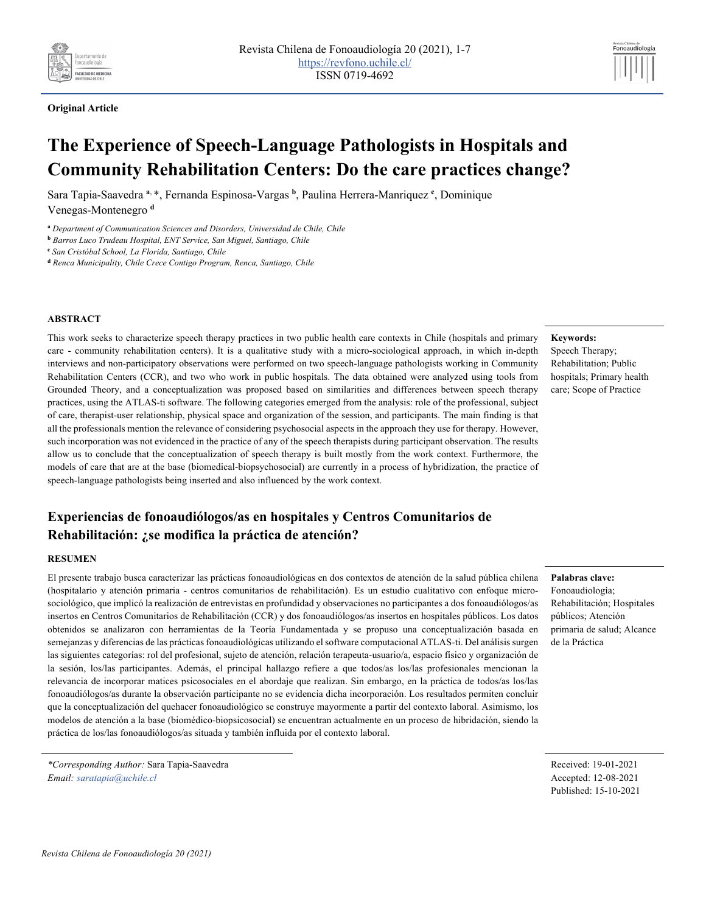



# **The Experience of Speech-Language Pathologists in Hospitals and Community Rehabilitation Centers: Do the care practices change?**

Sara Tapia-Saavedra **<sup>a</sup>**, \*, Fernanda Espinosa-Vargas **<sup>b</sup>**, Paulina Herrera-Manriquez **<sup>c</sup>** , Dominique Venegas-Montenegro **<sup>d</sup>**

**<sup>a</sup>** *Department of Communication Sciences and Disorders, Universidad de Chile, Chile*

#### **ABSTRACT**

This work seeks to characterize speech therapy practices in two public health care contexts in Chile (hospitals and primary care - community rehabilitation centers). It is a qualitative study with a micro-sociological approach, in which in-depth interviews and non-participatory observations were performed on two speech-language pathologists working in Community Rehabilitation Centers (CCR), and two who work in public hospitals. The data obtained were analyzed using tools from Grounded Theory, and a conceptualization was proposed based on similarities and differences between speech therapy practices, using the ATLAS-ti software. The following categories emerged from the analysis: role of the professional, subject of care, therapist-user relationship, physical space and organization of the session, and participants. The main finding is that all the professionals mention the relevance of considering psychosocial aspects in the approach they use for therapy. However, such incorporation was not evidenced in the practice of any of the speech therapists during participant observation. The results allow us to conclude that the conceptualization of speech therapy is built mostly from the work context. Furthermore, the models of care that are at the base (biomedical-biopsychosocial) are currently in a process of hybridization, the practice of speech-language pathologists being inserted and also influenced by the work context.

## **Experiencias de fonoaudiólogos/as en hospitales y Centros Comunitarios de Rehabilitación: ¿se modifica la práctica de atención?**

#### **RESUMEN**

El presente trabajo busca caracterizar las prácticas fonoaudiológicas en dos contextos de atención de la salud pública chilena (hospitalario y atención primaria - centros comunitarios de rehabilitación). Es un estudio cualitativo con enfoque microsociológico, que implicó la realización de entrevistas en profundidad y observaciones no participantes a dos fonoaudiólogos/as insertos en Centros Comunitarios de Rehabilitación (CCR) y dos fonoaudiólogos/as insertos en hospitales públicos. Los datos obtenidos se analizaron con herramientas de la Teoría Fundamentada y se propuso una conceptualización basada en semejanzas y diferencias de las prácticas fonoaudiológicas utilizando el software computacional ATLAS-ti. Del análisis surgen las siguientes categorías: rol del profesional, sujeto de atención, relación terapeuta-usuario/a, espacio físico y organización de la sesión, los/las participantes. Además, el principal hallazgo refiere a que todos/as los/las profesionales mencionan la relevancia de incorporar matices psicosociales en el abordaje que realizan. Sin embargo, en la práctica de todos/as los/las fonoaudiólogos/as durante la observación participante no se evidencia dicha incorporación. Los resultados permiten concluir que la conceptualización del quehacer fonoaudiológico se construye mayormente a partir del contexto laboral. Asimismo, los modelos de atención a la base (biomédico-biopsicosocial) se encuentran actualmente en un proceso de hibridación, siendo la práctica de los/las fonoaudiólogos/as situada y también influida por el contexto laboral.

**Keywords:**

Speech Therapy; Rehabilitation; Public hospitals; Primary health care; Scope of Practice

#### **Palabras clave:**

Fonoaudiología; Rehabilitación; Hospitales públicos; Atención primaria de salud; Alcance de la Práctica

Received: 19-01-2021 Accepted: 12-08-2021 Published: 15-10-2021

**<sup>b</sup>** *Barros Luco Trudeau Hospital, ENT Service, San Miguel, Santiago, Chile*

**<sup>c</sup>** *San Cristóbal School, La Florida, Santiago, Chile*

**<sup>d</sup>** *Renca Municipality, Chile Crece Contigo Program, Renca, Santiago, Chile*

*<sup>\*</sup>Corresponding Author:* Sara Tapia-Saavedra *Email: saratapia@uchile.cl*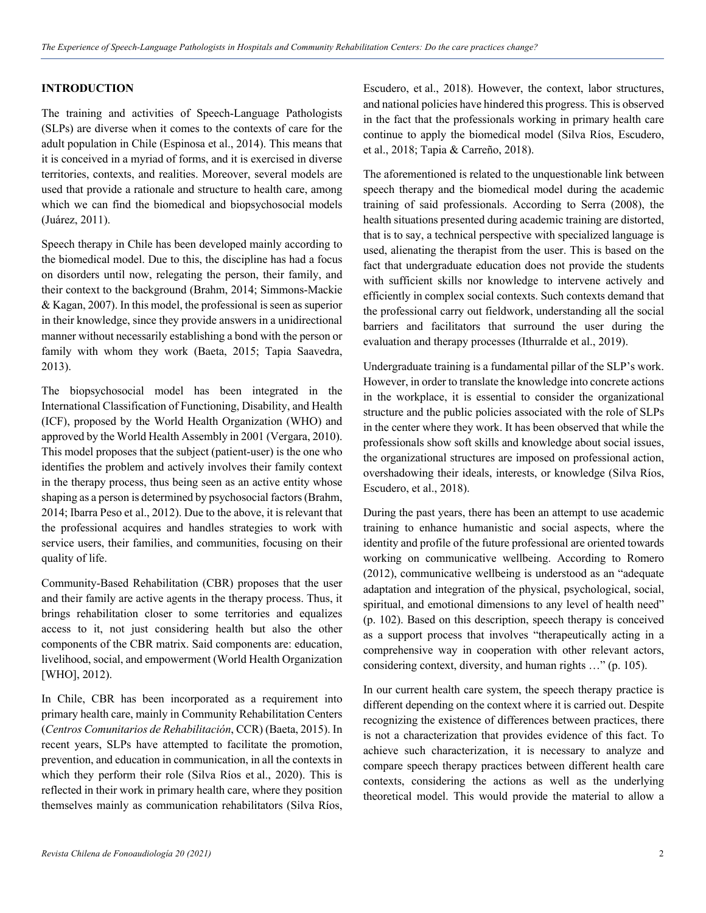#### **INTRODUCTION**

The training and activities of Speech-Language Pathologists (SLPs) are diverse when it comes to the contexts of care for the adult population in Chile (Espinosa et al., 2014). This means that it is conceived in a myriad of forms, and it is exercised in diverse territories, contexts, and realities. Moreover, several models are used that provide a rationale and structure to health care, among which we can find the biomedical and biopsychosocial models (Juárez, 2011).

Speech therapy in Chile has been developed mainly according to the biomedical model. Due to this, the discipline has had a focus on disorders until now, relegating the person, their family, and their context to the background (Brahm, 2014; Simmons-Mackie & Kagan, 2007). In this model, the professional is seen as superior in their knowledge, since they provide answers in a unidirectional manner without necessarily establishing a bond with the person or family with whom they work (Baeta, 2015; Tapia Saavedra, 2013).

The biopsychosocial model has been integrated in the International Classification of Functioning, Disability, and Health (ICF), proposed by the World Health Organization (WHO) and approved by the World Health Assembly in 2001 (Vergara, 2010). This model proposes that the subject (patient-user) is the one who identifies the problem and actively involves their family context in the therapy process, thus being seen as an active entity whose shaping as a person is determined by psychosocial factors(Brahm, 2014; Ibarra Peso et al., 2012). Due to the above, it is relevant that the professional acquires and handles strategies to work with service users, their families, and communities, focusing on their quality of life.

Community-Based Rehabilitation (CBR) proposes that the user and their family are active agents in the therapy process. Thus, it brings rehabilitation closer to some territories and equalizes access to it, not just considering health but also the other components of the CBR matrix. Said components are: education, livelihood, social, and empowerment (World Health Organization [WHO], 2012).

In Chile, CBR has been incorporated as a requirement into primary health care, mainly in Community Rehabilitation Centers (*Centros Comunitarios de Rehabilitación*, CCR) (Baeta, 2015). In recent years, SLPs have attempted to facilitate the promotion, prevention, and education in communication, in all the contexts in which they perform their role (Silva Ríos et al., 2020). This is reflected in their work in primary health care, where they position themselves mainly as communication rehabilitators (Silva Ríos,

Escudero, et al., 2018). However, the context, labor structures, and national policies have hindered this progress. This is observed in the fact that the professionals working in primary health care continue to apply the biomedical model (Silva Ríos, Escudero, et al., 2018; Tapia & Carreño, 2018).

The aforementioned is related to the unquestionable link between speech therapy and the biomedical model during the academic training of said professionals. According to Serra (2008), the health situations presented during academic training are distorted, that is to say, a technical perspective with specialized language is used, alienating the therapist from the user. This is based on the fact that undergraduate education does not provide the students with sufficient skills nor knowledge to intervene actively and efficiently in complex social contexts. Such contexts demand that the professional carry out fieldwork, understanding all the social barriers and facilitators that surround the user during the evaluation and therapy processes (Ithurralde et al., 2019).

Undergraduate training is a fundamental pillar of the SLP's work. However, in order to translate the knowledge into concrete actions in the workplace, it is essential to consider the organizational structure and the public policies associated with the role of SLPs in the center where they work. It has been observed that while the professionals show soft skills and knowledge about social issues, the organizational structures are imposed on professional action, overshadowing their ideals, interests, or knowledge (Silva Ríos, Escudero, et al., 2018).

During the past years, there has been an attempt to use academic training to enhance humanistic and social aspects, where the identity and profile of the future professional are oriented towards working on communicative wellbeing. According to Romero (2012), communicative wellbeing is understood as an "adequate adaptation and integration of the physical, psychological, social, spiritual, and emotional dimensions to any level of health need" (p. 102). Based on this description, speech therapy is conceived as a support process that involves "therapeutically acting in a comprehensive way in cooperation with other relevant actors, considering context, diversity, and human rights …" (p. 105).

In our current health care system, the speech therapy practice is different depending on the context where it is carried out. Despite recognizing the existence of differences between practices, there is not a characterization that provides evidence of this fact. To achieve such characterization, it is necessary to analyze and compare speech therapy practices between different health care contexts, considering the actions as well as the underlying theoretical model. This would provide the material to allow a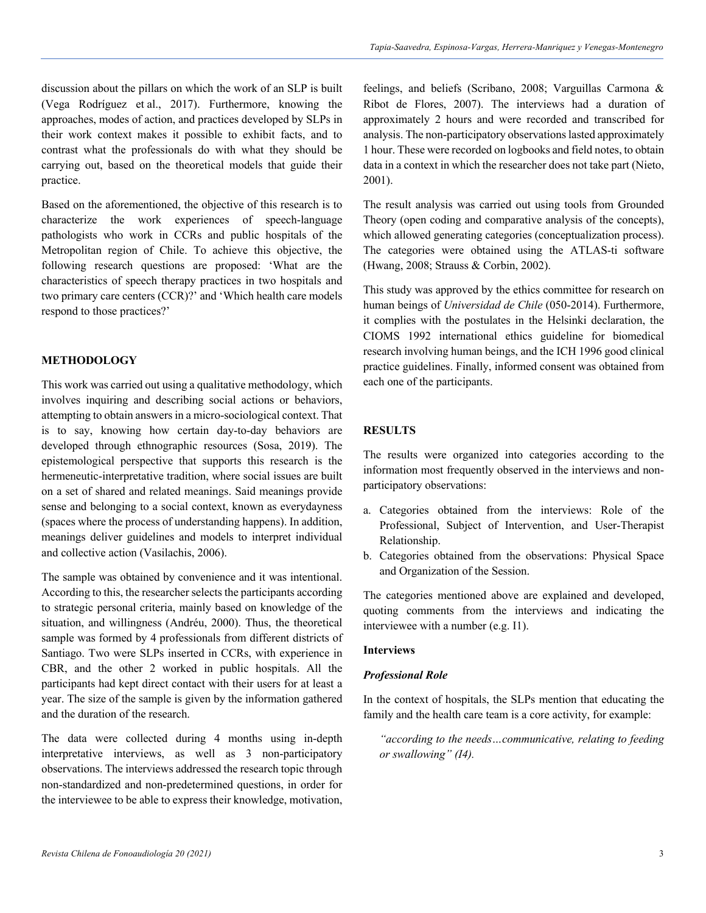discussion about the pillars on which the work of an SLP is built (Vega Rodríguez et al., 2017). Furthermore, knowing the approaches, modes of action, and practices developed by SLPs in their work context makes it possible to exhibit facts, and to contrast what the professionals do with what they should be carrying out, based on the theoretical models that guide their practice.

Based on the aforementioned, the objective of this research is to characterize the work experiences of speech-language pathologists who work in CCRs and public hospitals of the Metropolitan region of Chile. To achieve this objective, the following research questions are proposed: 'What are the characteristics of speech therapy practices in two hospitals and two primary care centers (CCR)?' and 'Which health care models respond to those practices?'

#### **METHODOLOGY**

This work was carried out using a qualitative methodology, which involves inquiring and describing social actions or behaviors, attempting to obtain answers in a micro-sociological context. That is to say, knowing how certain day-to-day behaviors are developed through ethnographic resources (Sosa, 2019). The epistemological perspective that supports this research is the hermeneutic-interpretative tradition, where social issues are built on a set of shared and related meanings. Said meanings provide sense and belonging to a social context, known as everydayness (spaces where the process of understanding happens). In addition, meanings deliver guidelines and models to interpret individual and collective action (Vasilachis, 2006).

The sample was obtained by convenience and it was intentional. According to this, the researcher selects the participants according to strategic personal criteria, mainly based on knowledge of the situation, and willingness (Andréu, 2000). Thus, the theoretical sample was formed by 4 professionals from different districts of Santiago. Two were SLPs inserted in CCRs, with experience in CBR, and the other 2 worked in public hospitals. All the participants had kept direct contact with their users for at least a year. The size of the sample is given by the information gathered and the duration of the research.

The data were collected during 4 months using in-depth interpretative interviews, as well as 3 non-participatory observations. The interviews addressed the research topic through non-standardized and non-predetermined questions, in order for the interviewee to be able to express their knowledge, motivation,

feelings, and beliefs (Scribano, 2008; Varguillas Carmona & Ribot de Flores, 2007). The interviews had a duration of approximately 2 hours and were recorded and transcribed for analysis. The non-participatory observations lasted approximately 1 hour. These were recorded on logbooks and field notes, to obtain data in a context in which the researcher does not take part (Nieto, 2001).

The result analysis was carried out using tools from Grounded Theory (open coding and comparative analysis of the concepts), which allowed generating categories (conceptualization process). The categories were obtained using the ATLAS-ti software (Hwang, 2008; Strauss & Corbin, 2002).

This study was approved by the ethics committee for research on human beings of *Universidad de Chile* (050-2014). Furthermore, it complies with the postulates in the Helsinki declaration, the CIOMS 1992 international ethics guideline for biomedical research involving human beings, and the ICH 1996 good clinical practice guidelines. Finally, informed consent was obtained from each one of the participants.

## **RESULTS**

The results were organized into categories according to the information most frequently observed in the interviews and nonparticipatory observations:

- a. Categories obtained from the interviews: Role of the Professional, Subject of Intervention, and User-Therapist Relationship.
- b. Categories obtained from the observations: Physical Space and Organization of the Session.

The categories mentioned above are explained and developed, quoting comments from the interviews and indicating the interviewee with a number (e.g. I1).

#### **Interviews**

#### *Professional Role*

In the context of hospitals, the SLPs mention that educating the family and the health care team is a core activity, for example:

*"according to the needs…communicative, relating to feeding or swallowing" (I4).*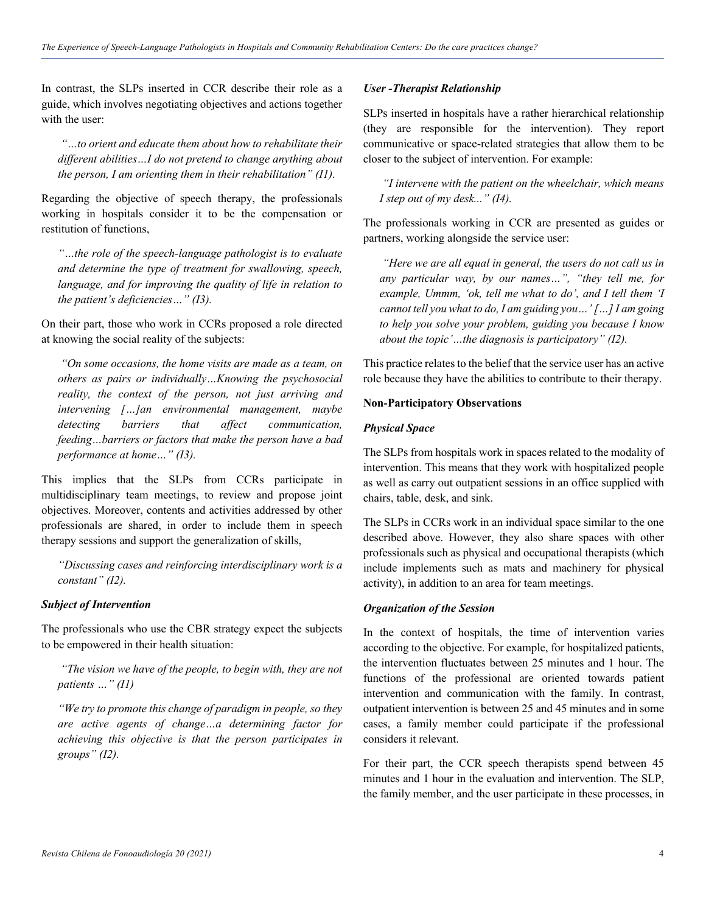In contrast, the SLPs inserted in CCR describe their role as a guide, which involves negotiating objectives and actions together with the user:

*"…to orient and educate them about how to rehabilitate their different abilities…I do not pretend to change anything about the person, I am orienting them in their rehabilitation" (I1).*

Regarding the objective of speech therapy, the professionals working in hospitals consider it to be the compensation or restitution of functions,

*"…the role of the speech-language pathologist is to evaluate and determine the type of treatment for swallowing, speech, language, and for improving the quality of life in relation to the patient's deficiencies…" (I3).*

On their part, those who work in CCRs proposed a role directed at knowing the social reality of the subjects:

*"On some occasions, the home visits are made as a team, on others as pairs or individually…Knowing the psychosocial reality, the context of the person, not just arriving and intervening […]an environmental management, maybe detecting barriers that affect communication, feeding…barriers or factors that make the person have a bad performance at home…" (I3).* 

This implies that the SLPs from CCRs participate in multidisciplinary team meetings, to review and propose joint objectives. Moreover, contents and activities addressed by other professionals are shared, in order to include them in speech therapy sessions and support the generalization of skills,

*"Discussing cases and reinforcing interdisciplinary work is a constant" (I2).*

## *Subject of Intervention*

The professionals who use the CBR strategy expect the subjects to be empowered in their health situation:

*"The vision we have of the people, to begin with, they are not patients …" (I1)* 

*"We try to promote this change of paradigm in people, so they are active agents of change…a determining factor for achieving this objective is that the person participates in groups" (I2).*

## *User -Therapist Relationship*

SLPs inserted in hospitals have a rather hierarchical relationship (they are responsible for the intervention). They report communicative or space-related strategies that allow them to be closer to the subject of intervention. For example:

*"I intervene with the patient on the wheelchair, which means I step out of my desk..." (I4).*

The professionals working in CCR are presented as guides or partners, working alongside the service user:

*"Here we are all equal in general, the users do not call us in any particular way, by our names…", "they tell me, for example, Ummm, 'ok, tell me what to do', and I tell them 'I cannot tell you what to do, I am guiding you…' […] I am going to help you solve your problem, guiding you because I know about the topic'…the diagnosis is participatory" (I2).* 

This practice relates to the belief that the service user has an active role because they have the abilities to contribute to their therapy.

#### **Non-Participatory Observations**

#### *Physical Space*

The SLPs from hospitals work in spaces related to the modality of intervention. This means that they work with hospitalized people as well as carry out outpatient sessions in an office supplied with chairs, table, desk, and sink.

The SLPs in CCRs work in an individual space similar to the one described above. However, they also share spaces with other professionals such as physical and occupational therapists (which include implements such as mats and machinery for physical activity), in addition to an area for team meetings.

#### *Organization of the Session*

In the context of hospitals, the time of intervention varies according to the objective. For example, for hospitalized patients, the intervention fluctuates between 25 minutes and 1 hour. The functions of the professional are oriented towards patient intervention and communication with the family. In contrast, outpatient intervention is between 25 and 45 minutes and in some cases, a family member could participate if the professional considers it relevant.

For their part, the CCR speech therapists spend between 45 minutes and 1 hour in the evaluation and intervention. The SLP, the family member, and the user participate in these processes, in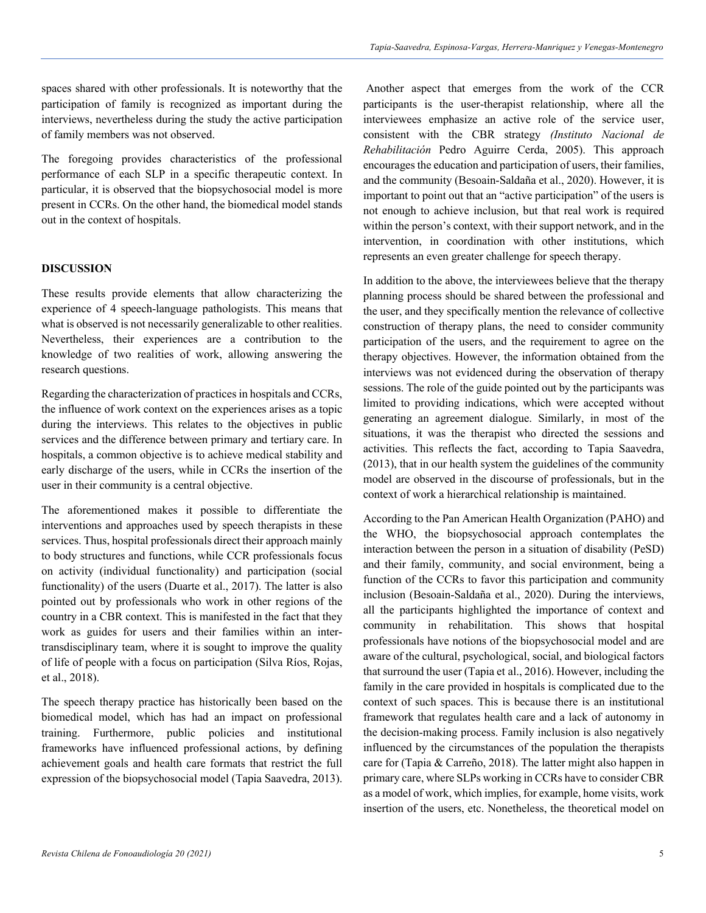spaces shared with other professionals. It is noteworthy that the participation of family is recognized as important during the interviews, nevertheless during the study the active participation of family members was not observed.

The foregoing provides characteristics of the professional performance of each SLP in a specific therapeutic context. In particular, it is observed that the biopsychosocial model is more present in CCRs. On the other hand, the biomedical model stands out in the context of hospitals.

#### **DISCUSSION**

These results provide elements that allow characterizing the experience of 4 speech-language pathologists. This means that what is observed is not necessarily generalizable to other realities. Nevertheless, their experiences are a contribution to the knowledge of two realities of work, allowing answering the research questions.

Regarding the characterization of practices in hospitals and CCRs, the influence of work context on the experiences arises as a topic during the interviews. This relates to the objectives in public services and the difference between primary and tertiary care. In hospitals, a common objective is to achieve medical stability and early discharge of the users, while in CCRs the insertion of the user in their community is a central objective.

The aforementioned makes it possible to differentiate the interventions and approaches used by speech therapists in these services. Thus, hospital professionals direct their approach mainly to body structures and functions, while CCR professionals focus on activity (individual functionality) and participation (social functionality) of the users (Duarte et al., 2017). The latter is also pointed out by professionals who work in other regions of the country in a CBR context. This is manifested in the fact that they work as guides for users and their families within an intertransdisciplinary team, where it is sought to improve the quality of life of people with a focus on participation (Silva Ríos, Rojas, et al., 2018).

The speech therapy practice has historically been based on the biomedical model, which has had an impact on professional training. Furthermore, public policies and institutional frameworks have influenced professional actions, by defining achievement goals and health care formats that restrict the full expression of the biopsychosocial model (Tapia Saavedra, 2013).

Another aspect that emerges from the work of the CCR participants is the user-therapist relationship, where all the interviewees emphasize an active role of the service user, consistent with the CBR strategy *(Instituto Nacional de Rehabilitación* Pedro Aguirre Cerda, 2005). This approach encourages the education and participation of users, their families, and the community (Besoain-Saldaña et al., 2020). However, it is important to point out that an "active participation" of the users is not enough to achieve inclusion, but that real work is required within the person's context, with their support network, and in the intervention, in coordination with other institutions, which represents an even greater challenge for speech therapy.

In addition to the above, the interviewees believe that the therapy planning process should be shared between the professional and the user, and they specifically mention the relevance of collective construction of therapy plans, the need to consider community participation of the users, and the requirement to agree on the therapy objectives. However, the information obtained from the interviews was not evidenced during the observation of therapy sessions. The role of the guide pointed out by the participants was limited to providing indications, which were accepted without generating an agreement dialogue. Similarly, in most of the situations, it was the therapist who directed the sessions and activities. This reflects the fact, according to Tapia Saavedra, (2013), that in our health system the guidelines of the community model are observed in the discourse of professionals, but in the context of work a hierarchical relationship is maintained.

According to the Pan American Health Organization (PAHO) and the WHO, the biopsychosocial approach contemplates the interaction between the person in a situation of disability (PeSD) and their family, community, and social environment, being a function of the CCRs to favor this participation and community inclusion (Besoain-Saldaña et al., 2020). During the interviews, all the participants highlighted the importance of context and community in rehabilitation. This shows that hospital professionals have notions of the biopsychosocial model and are aware of the cultural, psychological, social, and biological factors that surround the user (Tapia et al., 2016). However, including the family in the care provided in hospitals is complicated due to the context of such spaces. This is because there is an institutional framework that regulates health care and a lack of autonomy in the decision-making process. Family inclusion is also negatively influenced by the circumstances of the population the therapists care for (Tapia & Carreño, 2018). The latter might also happen in primary care, where SLPs working in CCRs have to consider CBR as a model of work, which implies, for example, home visits, work insertion of the users, etc. Nonetheless, the theoretical model on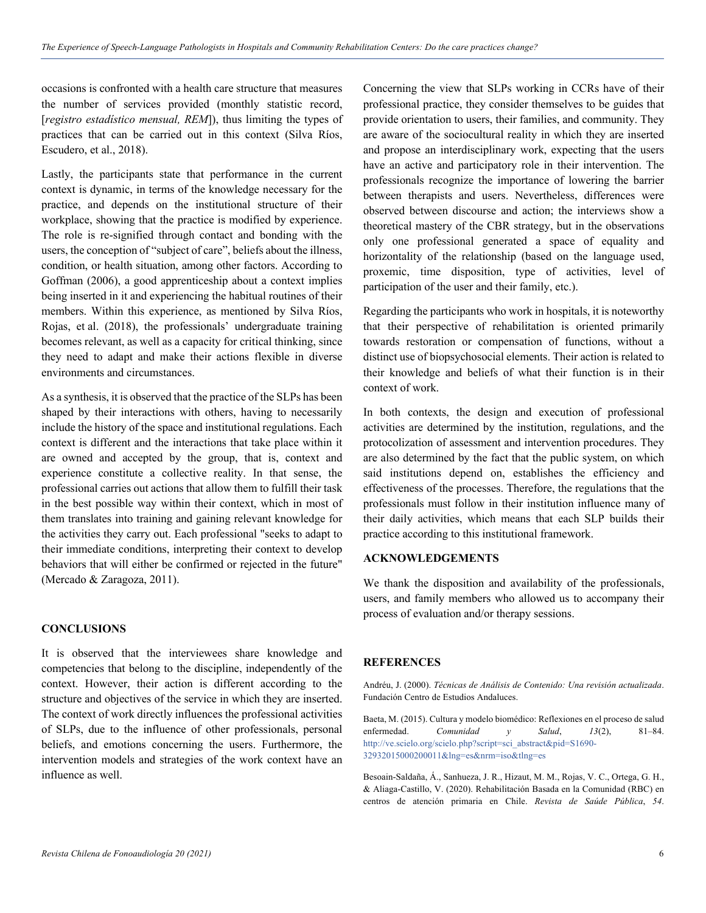occasions is confronted with a health care structure that measures the number of services provided (monthly statistic record, [*registro estadístico mensual, REM*]), thus limiting the types of practices that can be carried out in this context (Silva Ríos, Escudero, et al., 2018).

Lastly, the participants state that performance in the current context is dynamic, in terms of the knowledge necessary for the practice, and depends on the institutional structure of their workplace, showing that the practice is modified by experience. The role is re-signified through contact and bonding with the users, the conception of "subject of care", beliefs about the illness, condition, or health situation, among other factors. According to Goffman (2006), a good apprenticeship about a context implies being inserted in it and experiencing the habitual routines of their members. Within this experience, as mentioned by Silva Ríos, Rojas, et al. (2018), the professionals' undergraduate training becomes relevant, as well as a capacity for critical thinking, since they need to adapt and make their actions flexible in diverse environments and circumstances.

As a synthesis, it is observed that the practice of the SLPs has been shaped by their interactions with others, having to necessarily include the history of the space and institutional regulations. Each context is different and the interactions that take place within it are owned and accepted by the group, that is, context and experience constitute a collective reality. In that sense, the professional carries out actions that allow them to fulfill their task in the best possible way within their context, which in most of them translates into training and gaining relevant knowledge for the activities they carry out. Each professional "seeks to adapt to their immediate conditions, interpreting their context to develop behaviors that will either be confirmed or rejected in the future" (Mercado & Zaragoza, 2011).

## **CONCLUSIONS**

It is observed that the interviewees share knowledge and competencies that belong to the discipline, independently of the context. However, their action is different according to the structure and objectives of the service in which they are inserted. The context of work directly influences the professional activities of SLPs, due to the influence of other professionals, personal beliefs, and emotions concerning the users. Furthermore, the intervention models and strategies of the work context have an influence as well.

Concerning the view that SLPs working in CCRs have of their professional practice, they consider themselves to be guides that provide orientation to users, their families, and community. They are aware of the sociocultural reality in which they are inserted and propose an interdisciplinary work, expecting that the users have an active and participatory role in their intervention. The professionals recognize the importance of lowering the barrier between therapists and users. Nevertheless, differences were observed between discourse and action; the interviews show a theoretical mastery of the CBR strategy, but in the observations only one professional generated a space of equality and horizontality of the relationship (based on the language used, proxemic, time disposition, type of activities, level of participation of the user and their family, etc.).

Regarding the participants who work in hospitals, it is noteworthy that their perspective of rehabilitation is oriented primarily towards restoration or compensation of functions, without a distinct use of biopsychosocial elements. Their action is related to their knowledge and beliefs of what their function is in their context of work.

In both contexts, the design and execution of professional activities are determined by the institution, regulations, and the protocolization of assessment and intervention procedures. They are also determined by the fact that the public system, on which said institutions depend on, establishes the efficiency and effectiveness of the processes. Therefore, the regulations that the professionals must follow in their institution influence many of their daily activities, which means that each SLP builds their practice according to this institutional framework.

### **ACKNOWLEDGEMENTS**

We thank the disposition and availability of the professionals, users, and family members who allowed us to accompany their process of evaluation and/or therapy sessions.

#### **REFERENCES**

Andréu, J. (2000). *Técnicas de Análisis de Contenido: Una revisión actualizada*. Fundación Centro de Estudios Andaluces.

Baeta, M. (2015). Cultura y modelo biomédico: Reflexiones en el proceso de salud enfermedad. *Comunidad y Salud*, *13*(2), 81–84. http://ve.scielo.org/scielo.php?script=sci\_abstract&pid=S1690- 32932015000200011&lng=es&nrm=iso&tlng=es

Besoain-Saldaña, Á., Sanhueza, J. R., Hizaut, M. M., Rojas, V. C., Ortega, G. H., & Aliaga-Castillo, V. (2020). Rehabilitación Basada en la Comunidad (RBC) en centros de atención primaria en Chile. *Revista de Saúde Pública*, *54*.